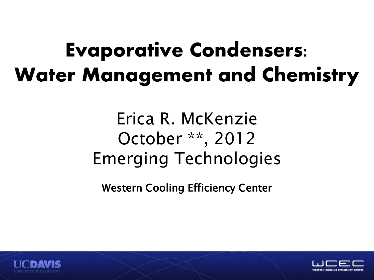### **Evaporative Condensers: Water Management and Chemistry**

Erica R. McKenzie October \*\*, 2012 Emerging Technologies

Western Cooling Efficiency Center



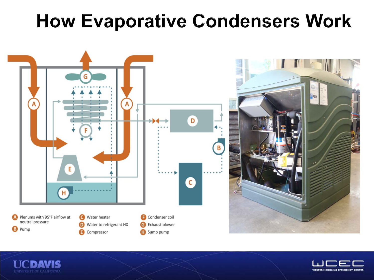#### **How Evaporative Condensers Work**





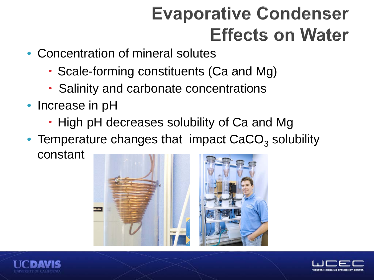#### **Evaporative Condenser Effects on Water**

- Concentration of mineral solutes
	- Scale-forming constituents (Ca and Mg)
	- Salinity and carbonate concentrations
- Increase in pH
	- High pH decreases solubility of Ca and Mg
- Temperature changes that impact  $CaCO<sub>3</sub>$  solubility constant





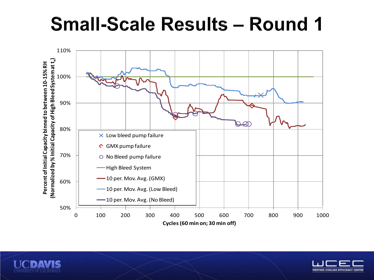#### **Small-Scale Results - Round 1**





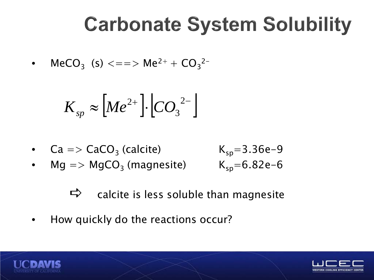### **Carbonate System Solubility**

• 
$$
MeCO_3
$$
 (s)  $\langle == \rangle$  Me<sup>2+</sup> +  $CO_3^{2-}$ 

$$
K_{sp} \approx \left[Me^{2+}\right] \cdot \left[CO_3^{2-}\right]
$$

• 
$$
Ca \Rightarrow CaCO_3
$$
 (calcite)  $K_{sp} = 3.36e-9$ 

• 
$$
Mg \Rightarrow MgCO_3
$$
 (magnesite)  $K_{sp} = 6.82e-6$ 

$$
K_{sp}
$$
=3.36e-9  
 $K_{sp}$ =6.82e-6

 $\Rightarrow$  calcite is less soluble than magnesite

• How quickly do the reactions occur?



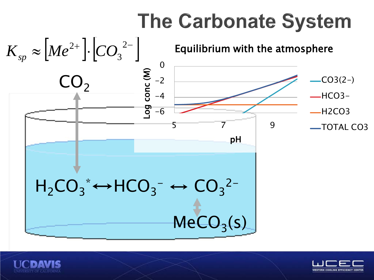## **The Carbonate System**





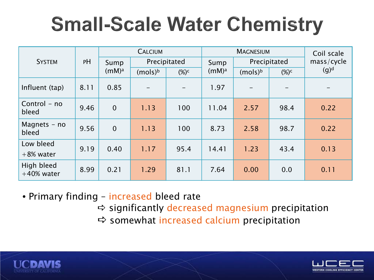## **Small-Scale Water Chemistry**

| <b>SYSTEM</b>               | PH   | <b>CALCIUM</b>            |                     |         | <b>MAGNESIUM</b>  |                     |         | Coil scale |
|-----------------------------|------|---------------------------|---------------------|---------|-------------------|---------------------|---------|------------|
|                             |      | Sump<br>(mM) <sup>a</sup> | Precipitated        |         | Sump              | Precipitated        |         | mass/cycle |
|                             |      |                           | (mols) <sup>b</sup> | $(\%)c$ | (mM) <sup>a</sup> | (mols) <sup>b</sup> | $(\%)c$ | $(g)^d$    |
| Influent (tap)              | 8.11 | 0.85                      |                     |         | 1.97              |                     |         |            |
| Control - no<br>bleed       | 9.46 | $\overline{0}$            | 1.13                | 100     | 11.04             | 2.57                | 98.4    | 0.22       |
| Magnets $-$ no<br>bleed     | 9.56 | $\overline{0}$            | 1.13                | 100     | 8.73              | 2.58                | 98.7    | 0.22       |
| Low bleed                   | 9.19 | 0.40                      | 1.17                | 95.4    | 14.41             | 1.23                | 43.4    | 0.13       |
| $+8\%$ water                |      |                           |                     |         |                   |                     |         |            |
| High bleed<br>$+40\%$ water | 8.99 | 0.21                      | 1.29                | 81.1    | 7.64              | 0.00                | 0.0     | 0.11       |

• Primary finding – increased bleed rate

- $\Rightarrow$  significantly decreased magnesium precipitation
- $\Rightarrow$  somewhat increased calcium precipitation



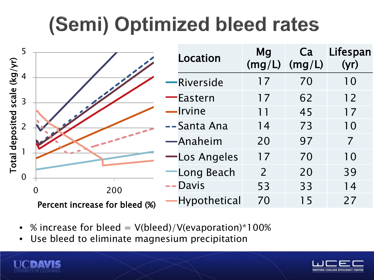# (Semi) Optimized bleed rates

| (kg/yr)                                                        |                                | <b>Location</b>                     | <b>Mg</b><br>(mg/L) | Ca<br>(mg/L) | Lifespan<br>(yr) |
|----------------------------------------------------------------|--------------------------------|-------------------------------------|---------------------|--------------|------------------|
| scale<br>$\overline{3}$<br>deposited<br>2<br>Total<br>$\Omega$ |                                | Riverside                           | 17                  | 70           | 10               |
|                                                                |                                | Eastern                             | 17                  | 62           | 12               |
|                                                                |                                | Irvine                              | 11                  | 45           | 17               |
|                                                                |                                | --Santa Ana                         | 14                  | 73           | 10               |
|                                                                |                                | -Anaheim                            | 20                  | 97           | $\overline{7}$   |
|                                                                |                                | -Los Angeles                        | 17                  | 70           | 10               |
|                                                                |                                | <b>Long Beach</b>                   | 2                   | 20           | 39               |
|                                                                | 200<br>$\overline{0}$          | <b>Davis</b><br>$\bullet$ $\bullet$ | 53                  | 33           | 14               |
|                                                                | Percent increase for bleed (%) | Hypothetical                        | 70                  | 15           | 27               |

- % increase for bleed  $= V(blead)/V(evaporation)*100%$
- Use bleed to eliminate magnesium precipitation



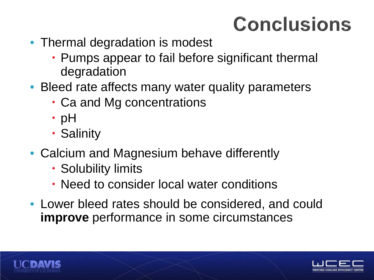### **Conclusions**

- Thermal degradation is modest
	- Pumps appear to fail before significant thermal degradation
- Bleed rate affects many water quality parameters
	- Ca and Mg concentrations
	- $\cdot$  pH
	- Salinity
- Calcium and Magnesium behave differently
	- Solubility limits
	- Need to consider local water conditions
- Lower bleed rates should be considered, and could **improve** performance in some circumstances